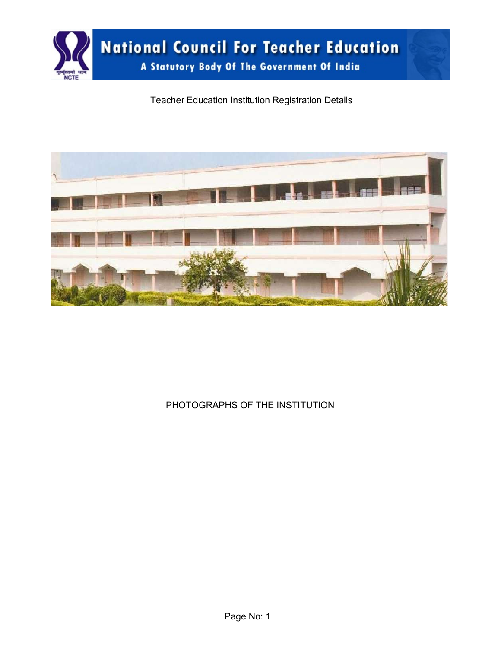

Teacher Education Institution Registration Details



PHOTOGRAPHS OF THE INSTITUTION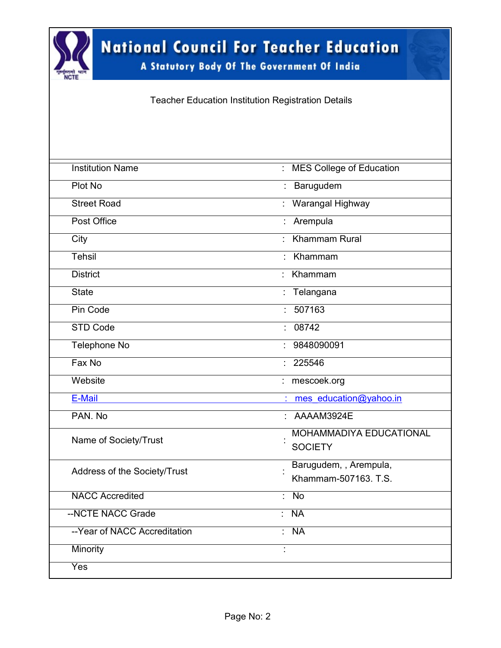

A Statutory Body Of The Government Of India

Teacher Education Institution Registration Details

| <b>Institution Name</b>      | : MES College of Education                          |
|------------------------------|-----------------------------------------------------|
| Plot No                      | : Barugudem                                         |
| <b>Street Road</b>           | : Warangal Highway                                  |
| Post Office                  | : Arempula                                          |
| City                         | <b>Khammam Rural</b>                                |
| Tehsil                       | Khammam                                             |
| <b>District</b>              | Khammam                                             |
| <b>State</b>                 | Telangana                                           |
| Pin Code                     | 507163<br>× 1                                       |
| <b>STD Code</b>              | 08742<br>÷.                                         |
| <b>Telephone No</b>          | 9848090091<br>÷                                     |
| Fax No                       | 225546<br>÷                                         |
| Website                      | mescoek.org                                         |
| E-Mail                       | mes education@yahoo.in                              |
| PAN, No                      | AAAAM3924E                                          |
| Name of Society/Trust        | <b>MOHAMMADIYA EDUCATIONAL</b>                      |
|                              | <b>SOCIETY</b>                                      |
| Address of the Society/Trust | Barugudem, , Arempula,                              |
|                              | Khammam-507163, T.S.                                |
| <b>NACC Accredited</b>       | $\overline{No}$<br>٠                                |
| --NCTE NACC Grade            | $\overline{\mathsf{NA}}$<br>$\overline{\mathbb{R}}$ |
| --Year of NACC Accreditation | $\overline{\mathsf{NA}}$<br>× 1                     |
| <b>Minority</b>              | ÷                                                   |
| Yes                          |                                                     |
|                              |                                                     |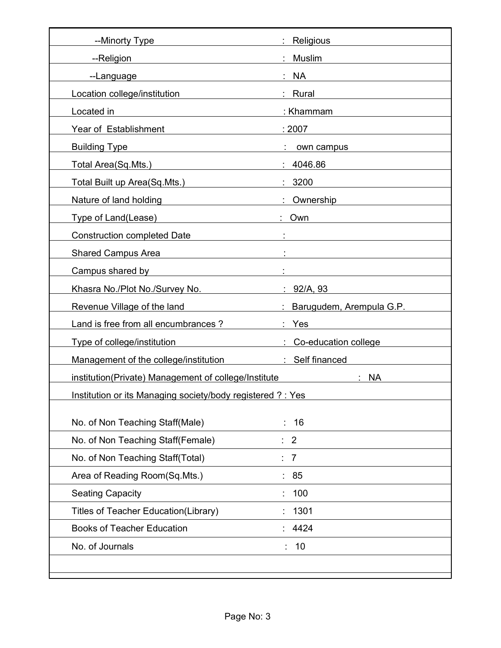| --Minorty Type                                                                                                                                                                                                                                     | : Religious                                  |
|----------------------------------------------------------------------------------------------------------------------------------------------------------------------------------------------------------------------------------------------------|----------------------------------------------|
| --Religion                                                                                                                                                                                                                                         | <b>Muslim</b>                                |
| --Language                                                                                                                                                                                                                                         | : NA                                         |
| Location college/institution                                                                                                                                                                                                                       | : Rural                                      |
| Located in<br><u>and the state of the state of the state of the state of the state of the state of the state of the state of the state of the state of the state of the state of the state of the state of the state of the state of the state</u> | : Khammam                                    |
| Year of Establishment                                                                                                                                                                                                                              | : 2007                                       |
| <b>Building Type</b><br><u> 1989 - Johann Barn, mars ann an t-Amhain Aonaich an t-Aonaich an t-Aonaich ann an t-Aonaich ann an t-Aonaich</u>                                                                                                       | own campus                                   |
| Total Area(Sq.Mts.)                                                                                                                                                                                                                                | : 4046.86                                    |
| Total Built up Area(Sq.Mts.)                                                                                                                                                                                                                       | : 3200                                       |
| Nature of land holding Nature of Land Andrew States                                                                                                                                                                                                | : Ownership                                  |
| Type of Land(Lease)                                                                                                                                                                                                                                | : Own                                        |
| <b>Construction completed Date</b><br><u> 1980 - Johann Barbara, martxa eta </u>                                                                                                                                                                   | <u> 1989 - Jan Barbara Barat III, martxa</u> |
| Shared Campus Area                                                                                                                                                                                                                                 |                                              |
| Campus shared by the contract of the contract of the contract of the contract of the contract of the contract of the contract of the contract of the contract of the contract of the contract of the contract of the contract                      |                                              |
| Khasra No./Plot No./Survey No. 2010 10:00:00 1:02/A, 93                                                                                                                                                                                            |                                              |
| Revenue Village of the land                                                                                                                                                                                                                        | <b>Example 2.5 Sarugudem, Arempula G.P.</b>  |
| Land is free from all encumbrances ?                                                                                                                                                                                                               | : Yes                                        |
| Type of college/institution                                                                                                                                                                                                                        | : Co-education college                       |
| Management of the college/institution                                                                                                                                                                                                              | : Self financed                              |
| institution(Private) Management of college/Institute                                                                                                                                                                                               | <b>NA</b>                                    |
| Institution or its Managing society/body registered ? : Yes                                                                                                                                                                                        |                                              |
|                                                                                                                                                                                                                                                    |                                              |
| No. of Non Teaching Staff(Male)                                                                                                                                                                                                                    | 16                                           |
| No. of Non Teaching Staff(Female)                                                                                                                                                                                                                  | $\overline{\phantom{0}}^2$                   |
| No. of Non Teaching Staff(Total)                                                                                                                                                                                                                   | $\overline{7}$                               |
| Area of Reading Room(Sq.Mts.)                                                                                                                                                                                                                      | 85                                           |
| <b>Seating Capacity</b>                                                                                                                                                                                                                            | 100                                          |
| Titles of Teacher Education(Library)                                                                                                                                                                                                               | 1301                                         |
| <b>Books of Teacher Education</b>                                                                                                                                                                                                                  | 4424                                         |
| No. of Journals                                                                                                                                                                                                                                    | 10<br>۰.                                     |
|                                                                                                                                                                                                                                                    |                                              |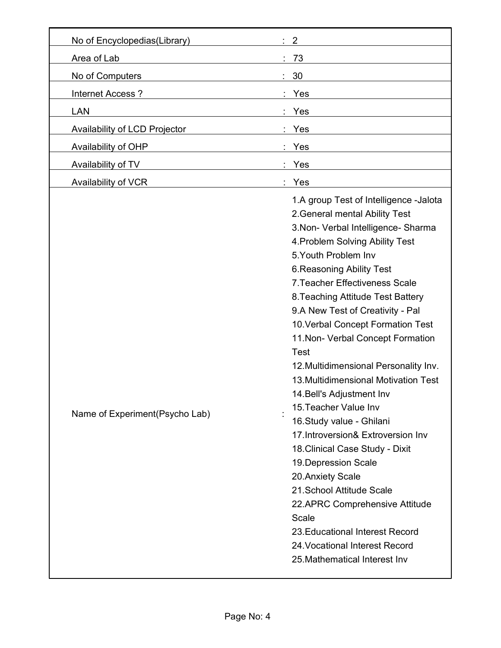| No of Encyclopedias(Library)   | 2                                                                                                                                                                                                                                                                                                                                                                                                                                                                                                                                                                                                                                                                                                                                                                                                                                                                                   |
|--------------------------------|-------------------------------------------------------------------------------------------------------------------------------------------------------------------------------------------------------------------------------------------------------------------------------------------------------------------------------------------------------------------------------------------------------------------------------------------------------------------------------------------------------------------------------------------------------------------------------------------------------------------------------------------------------------------------------------------------------------------------------------------------------------------------------------------------------------------------------------------------------------------------------------|
| Area of Lab                    | 73                                                                                                                                                                                                                                                                                                                                                                                                                                                                                                                                                                                                                                                                                                                                                                                                                                                                                  |
| No of Computers                | 30                                                                                                                                                                                                                                                                                                                                                                                                                                                                                                                                                                                                                                                                                                                                                                                                                                                                                  |
| Internet Access?               | Yes                                                                                                                                                                                                                                                                                                                                                                                                                                                                                                                                                                                                                                                                                                                                                                                                                                                                                 |
| <b>LAN</b>                     | Yes                                                                                                                                                                                                                                                                                                                                                                                                                                                                                                                                                                                                                                                                                                                                                                                                                                                                                 |
| Availability of LCD Projector  | Yes                                                                                                                                                                                                                                                                                                                                                                                                                                                                                                                                                                                                                                                                                                                                                                                                                                                                                 |
| Availability of OHP            | Yes                                                                                                                                                                                                                                                                                                                                                                                                                                                                                                                                                                                                                                                                                                                                                                                                                                                                                 |
| Availability of TV             | Yes                                                                                                                                                                                                                                                                                                                                                                                                                                                                                                                                                                                                                                                                                                                                                                                                                                                                                 |
| Availability of VCR            | Yes                                                                                                                                                                                                                                                                                                                                                                                                                                                                                                                                                                                                                                                                                                                                                                                                                                                                                 |
| Name of Experiment(Psycho Lab) | 1.A group Test of Intelligence -Jalota<br>2. General mental Ability Test<br>3. Non- Verbal Intelligence- Sharma<br>4. Problem Solving Ability Test<br>5. Youth Problem Inv<br>6. Reasoning Ability Test<br>7. Teacher Effectiveness Scale<br>8. Teaching Attitude Test Battery<br>9.A New Test of Creativity - Pal<br>10. Verbal Concept Formation Test<br>11. Non- Verbal Concept Formation<br><b>Test</b><br>12. Multidimensional Personality Inv.<br>13. Multidimensional Motivation Test<br>14. Bell's Adjustment Inv<br>15. Teacher Value Inv<br>16. Study value - Ghilani<br>17. Introversion& Extroversion Inv<br>18. Clinical Case Study - Dixit<br>19. Depression Scale<br>20. Anxiety Scale<br>21. School Attitude Scale<br>22.APRC Comprehensive Attitude<br>Scale<br>23. Educational Interest Record<br>24. Vocational Interest Record<br>25. Mathematical Interest Inv |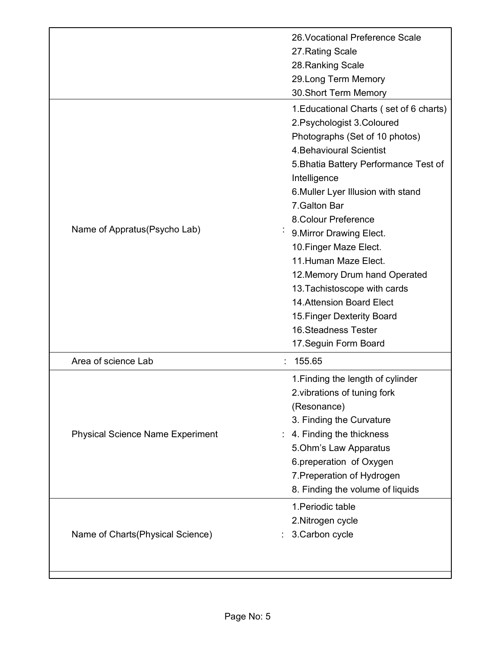|                                         | 26. Vocational Preference Scale         |
|-----------------------------------------|-----------------------------------------|
|                                         | 27. Rating Scale                        |
|                                         | 28. Ranking Scale                       |
|                                         | 29. Long Term Memory                    |
|                                         | 30. Short Term Memory                   |
|                                         | 1. Educational Charts (set of 6 charts) |
|                                         | 2. Psychologist 3. Coloured             |
|                                         | Photographs (Set of 10 photos)          |
|                                         | 4. Behavioural Scientist                |
|                                         | 5. Bhatia Battery Performance Test of   |
|                                         | Intelligence                            |
|                                         | 6. Muller Lyer Illusion with stand      |
|                                         | 7. Galton Bar                           |
|                                         | 8. Colour Preference                    |
| Name of Appratus (Psycho Lab)           | 9. Mirror Drawing Elect.                |
|                                         | 10. Finger Maze Elect.                  |
|                                         | 11. Human Maze Elect.                   |
|                                         | 12. Memory Drum hand Operated           |
|                                         | 13. Tachistoscope with cards            |
|                                         | 14. Attension Board Elect               |
|                                         | 15. Finger Dexterity Board              |
|                                         | 16. Steadness Tester                    |
|                                         | 17. Seguin Form Board                   |
| Area of science Lab                     | 155.65                                  |
|                                         | 1. Finding the length of cylinder       |
|                                         | 2. vibrations of tuning fork            |
|                                         |                                         |
|                                         | (Resonance)                             |
|                                         | 3. Finding the Curvature                |
| <b>Physical Science Name Experiment</b> | 4. Finding the thickness                |
|                                         | 5. Ohm's Law Apparatus                  |
|                                         | 6.preperation of Oxygen                 |
|                                         | 7. Preperation of Hydrogen              |
|                                         | 8. Finding the volume of liquids        |
|                                         | 1. Periodic table                       |
|                                         | 2. Nitrogen cycle                       |
| Name of Charts (Physical Science)       | 3. Carbon cycle                         |
|                                         |                                         |
|                                         |                                         |
|                                         |                                         |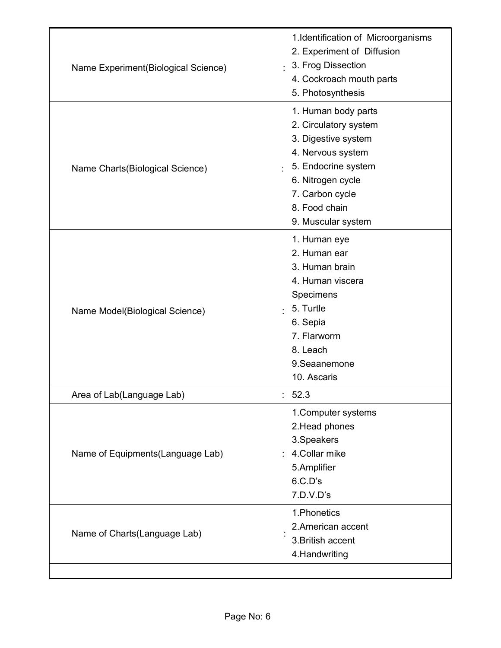| Name Experiment(Biological Science) | 1.Identification of Microorganisms<br>2. Experiment of Diffusion<br>3. Frog Dissection<br>$\blacksquare$<br>4. Cockroach mouth parts<br>5. Photosynthesis                                      |  |  |  |  |
|-------------------------------------|------------------------------------------------------------------------------------------------------------------------------------------------------------------------------------------------|--|--|--|--|
| Name Charts(Biological Science)     | 1. Human body parts<br>2. Circulatory system<br>3. Digestive system<br>4. Nervous system<br>5. Endocrine system<br>6. Nitrogen cycle<br>7. Carbon cycle<br>8. Food chain<br>9. Muscular system |  |  |  |  |
| Name Model(Biological Science)      | 1. Human eye<br>2. Human ear<br>3. Human brain<br>4. Human viscera<br>Specimens<br>5. Turtle<br>6. Sepia<br>7. Flarworm<br>8. Leach<br>9.Seaanemone<br>10. Ascaris                             |  |  |  |  |
| Area of Lab(Language Lab)           | 52.3<br>. .                                                                                                                                                                                    |  |  |  |  |
| Name of Equipments(Language Lab)    | 1. Computer systems<br>2. Head phones<br>3.Speakers<br>4.Collar mike<br>5.Amplifier<br>6.C.D's<br>7.D.V.D's                                                                                    |  |  |  |  |
| Name of Charts(Language Lab)        | 1. Phonetics<br>2.American accent<br>3. British accent<br>4. Handwriting                                                                                                                       |  |  |  |  |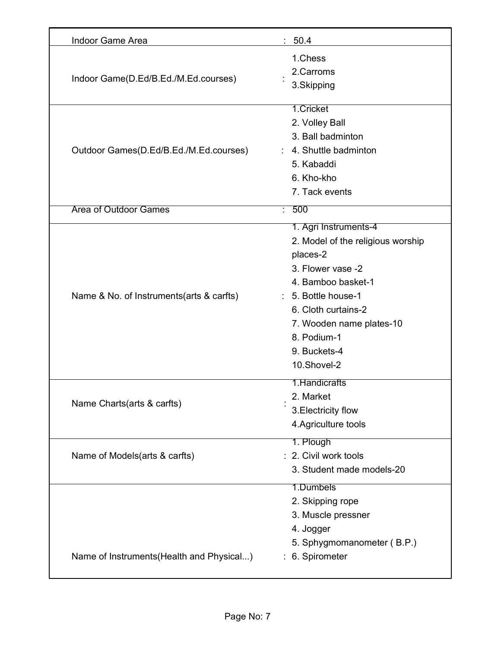| <b>Indoor Game Area</b>                   | : 50.4                                                                                                                                                                                                                                    |
|-------------------------------------------|-------------------------------------------------------------------------------------------------------------------------------------------------------------------------------------------------------------------------------------------|
| Indoor Game(D.Ed/B.Ed./M.Ed.courses)      | 1.Chess<br>2.Carroms<br>3.Skipping                                                                                                                                                                                                        |
| Outdoor Games(D.Ed/B.Ed./M.Ed.courses)    | 1.Cricket<br>2. Volley Ball<br>3. Ball badminton<br>: 4. Shuttle badminton<br>5. Kabaddi<br>6. Kho-kho<br>7. Tack events                                                                                                                  |
| <b>Area of Outdoor Games</b>              | 500                                                                                                                                                                                                                                       |
| Name & No. of Instruments(arts & carfts)  | 1. Agri Instruments-4<br>2. Model of the religious worship<br>places-2<br>3. Flower vase -2<br>4. Bamboo basket-1<br>: 5. Bottle house-1<br>6. Cloth curtains-2<br>7. Wooden name plates-10<br>8. Podium-1<br>9. Buckets-4<br>10.Shovel-2 |
| Name Charts(arts & carfts)                | 1.Handicrafts<br>2. Market<br>3. Electricity flow<br>4. Agriculture tools                                                                                                                                                                 |
| Name of Models(arts & carfts)             | 1. Plough<br>: 2. Civil work tools<br>3. Student made models-20                                                                                                                                                                           |
| Name of Instruments (Health and Physical) | 1.Dumbels<br>2. Skipping rope<br>3. Muscle pressner<br>4. Jogger<br>5. Sphygmomanometer (B.P.)<br>6. Spirometer                                                                                                                           |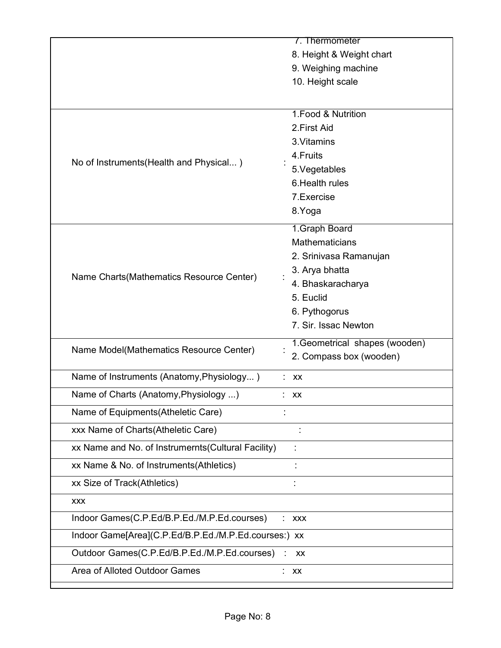|                                                      | 7. Thermometer                 |
|------------------------------------------------------|--------------------------------|
|                                                      | 8. Height & Weight chart       |
|                                                      | 9. Weighing machine            |
|                                                      | 10. Height scale               |
|                                                      |                                |
|                                                      | 1. Food & Nutrition            |
|                                                      | 2. First Aid                   |
|                                                      | 3. Vitamins                    |
|                                                      | 4. Fruits                      |
| No of Instruments (Health and Physical)              | 5. Vegetables                  |
|                                                      | 6. Health rules                |
|                                                      | 7. Exercise                    |
|                                                      | 8.Yoga                         |
|                                                      | 1. Graph Board                 |
|                                                      | <b>Mathematicians</b>          |
|                                                      | 2. Srinivasa Ramanujan         |
|                                                      | 3. Arya bhatta                 |
| Name Charts (Mathematics Resource Center)            | 4. Bhaskaracharya              |
|                                                      | 5. Euclid                      |
|                                                      | 6. Pythogorus                  |
|                                                      | 7. Sir. Issac Newton           |
| Name Model(Mathematics Resource Center)              | 1. Geometrical shapes (wooden) |
|                                                      | 2. Compass box (wooden)        |
| Name of Instruments (Anatomy, Physiology)            | XX                             |
| Name of Charts (Anatomy, Physiology )                | $:$ XX                         |
| Name of Equipments(Atheletic Care)                   |                                |
| xxx Name of Charts(Atheletic Care)                   |                                |
| xx Name and No. of Instrumernts(Cultural Facility)   |                                |
| xx Name & No. of Instruments(Athletics)              |                                |
| xx Size of Track(Athletics)                          |                                |
| <b>XXX</b>                                           |                                |
| Indoor Games(C.P.Ed/B.P.Ed./M.P.Ed.courses)          | <b>XXX</b>                     |
| Indoor Game[Area](C.P.Ed/B.P.Ed./M.P.Ed.courses:) xx |                                |
| Outdoor Games(C.P.Ed/B.P.Ed./M.P.Ed.courses)         | XX                             |
| Area of Alloted Outdoor Games                        | XX                             |
|                                                      |                                |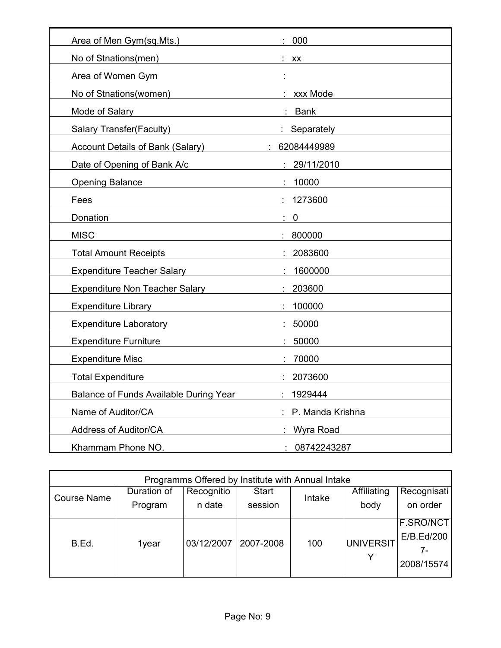| Area of Men Gym(sq.Mts.)                                                                                 | 000              |
|----------------------------------------------------------------------------------------------------------|------------------|
| No of Stnations(men)                                                                                     | $:$ XX           |
| Area of Women Gym                                                                                        |                  |
| No of Stnations(women)                                                                                   | : xxx Mode       |
| Mode of Salary                                                                                           | : Bank           |
| <b>Salary Transfer(Faculty)</b>                                                                          | : Separately     |
| <b>Account Details of Bank (Salary)</b>                                                                  | 62084449989      |
| Date of Opening of Bank A/c                                                                              | : 29/11/2010     |
| <b>Opening Balance</b>                                                                                   | 10000            |
| Fees                                                                                                     | 1273600          |
| Donation                                                                                                 | $\mathbf 0$      |
| <b>MISC</b>                                                                                              | 800000           |
| <b>Total Amount Receipts</b>                                                                             | : 2083600        |
| <b>Expenditure Teacher Salary</b>                                                                        | 1600000          |
| Expenditure Non Teacher Salary                                                                           | : 203600         |
| <b>Expenditure Library</b><br><u> 1989 - Johann Harry Barn, mars ar breist fan de Fryske kommunent (</u> | 100000           |
| Expenditure Laboratory <b>Expenditure</b>                                                                | 50000            |
| <b>Expenditure Furniture</b>                                                                             | : 50000          |
| <b>Expenditure Misc</b>                                                                                  | 70000            |
| <b>Total Expenditure</b>                                                                                 | 2073600          |
| <b>Balance of Funds Available During Year</b>                                                            | 1929444          |
| Name of Auditor/CA                                                                                       | P. Manda Krishna |
| Address of Auditor/CA                                                                                    | Wyra Road        |
| Khammam Phone NO.                                                                                        | 08742243287      |

| Programms Offered by Institute with Annual Intake |       |            |              |        |                  |             |  |  |
|---------------------------------------------------|-------|------------|--------------|--------|------------------|-------------|--|--|
| Duration of<br><b>Course Name</b><br>Program      |       | Recognitio | <b>Start</b> | Intake | Affiliating      | Recognisati |  |  |
|                                                   |       | n date     | session      |        | body             | on order    |  |  |
|                                                   |       |            |              |        |                  | F.SRO/NCT   |  |  |
| B.Ed.                                             | 1year | 03/12/2007 | 2007-2008    | 100    | <b>UNIVERSIT</b> | E/B.Ed/200  |  |  |
|                                                   |       |            |              |        |                  | 7-          |  |  |
|                                                   |       |            |              |        |                  | 2008/15574  |  |  |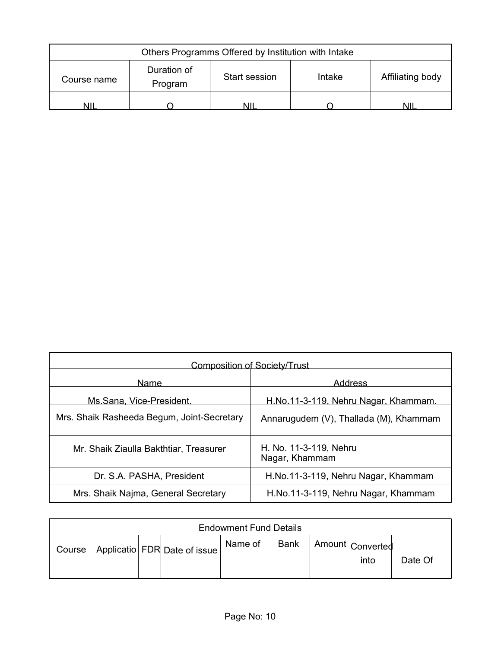| Others Programms Offered by Institution with Intake                                         |  |  |  |  |  |  |
|---------------------------------------------------------------------------------------------|--|--|--|--|--|--|
| Duration of<br>Affiliating body<br><b>Start session</b><br>Intake<br>Course name<br>Program |  |  |  |  |  |  |
| NII<br>мш                                                                                   |  |  |  |  |  |  |

| <b>Composition of Society/Trust</b>        |                                          |  |  |  |  |
|--------------------------------------------|------------------------------------------|--|--|--|--|
| Name                                       | Address                                  |  |  |  |  |
| Ms.Sana, Vice-President.                   | H.No.11-3-119, Nehru Nagar, Khammam.     |  |  |  |  |
| Mrs. Shaik Rasheeda Begum, Joint-Secretary | Annarugudem (V), Thallada (M), Khammam   |  |  |  |  |
| Mr. Shaik Ziaulla Bakthtiar, Treasurer     | H. No. 11-3-119, Nehru<br>Nagar, Khammam |  |  |  |  |
| Dr. S.A. PASHA, President                  | H.No.11-3-119, Nehru Nagar, Khammam      |  |  |  |  |
| Mrs. Shaik Najma, General Secretary        | H.No.11-3-119, Nehru Nagar, Khammam      |  |  |  |  |

| <b>Endowment Fund Details</b> |  |  |                              |             |             |  |                          |         |
|-------------------------------|--|--|------------------------------|-------------|-------------|--|--------------------------|---------|
| Course                        |  |  | Applicatio FDR Date of issue | Name of $ $ | <b>Bank</b> |  | Amount Converted<br>into | Date Of |